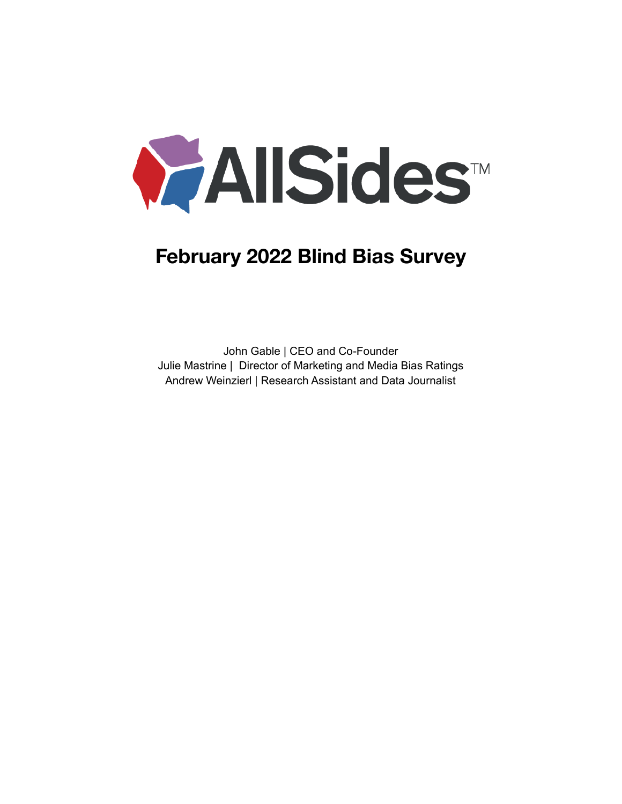

# **February 2022 Blind Bias Survey**

John Gable | CEO and Co-Founder Julie Mastrine | Director of Marketing and Media Bias Ratings Andrew Weinzierl | Research Assistant and Data Journalist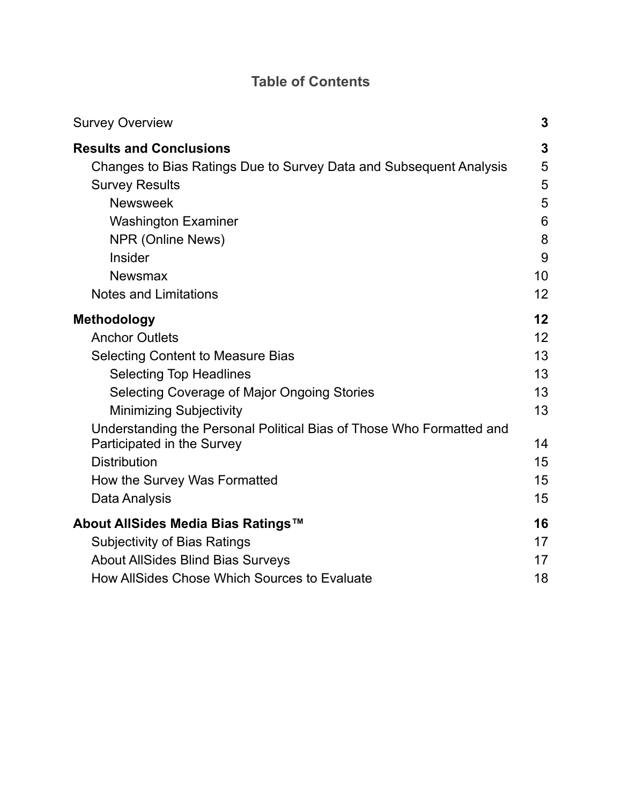## **Table of Contents**

| <b>Survey Overview</b>                                                                                                                                                                                                                                                                                                                                                                   | 3                                                        |
|------------------------------------------------------------------------------------------------------------------------------------------------------------------------------------------------------------------------------------------------------------------------------------------------------------------------------------------------------------------------------------------|----------------------------------------------------------|
| <b>Results and Conclusions</b>                                                                                                                                                                                                                                                                                                                                                           | 3                                                        |
| Changes to Bias Ratings Due to Survey Data and Subsequent Analysis                                                                                                                                                                                                                                                                                                                       | 5                                                        |
| <b>Survey Results</b>                                                                                                                                                                                                                                                                                                                                                                    | 5                                                        |
| <b>Newsweek</b>                                                                                                                                                                                                                                                                                                                                                                          | 5                                                        |
| <b>Washington Examiner</b>                                                                                                                                                                                                                                                                                                                                                               | 6                                                        |
| NPR (Online News)                                                                                                                                                                                                                                                                                                                                                                        | 8                                                        |
| <b>Insider</b>                                                                                                                                                                                                                                                                                                                                                                           | 9                                                        |
| <b>Newsmax</b>                                                                                                                                                                                                                                                                                                                                                                           | 10                                                       |
| <b>Notes and Limitations</b>                                                                                                                                                                                                                                                                                                                                                             | 12                                                       |
| <b>Methodology</b><br><b>Anchor Outlets</b><br><b>Selecting Content to Measure Bias</b><br><b>Selecting Top Headlines</b><br>Selecting Coverage of Major Ongoing Stories<br><b>Minimizing Subjectivity</b><br>Understanding the Personal Political Bias of Those Who Formatted and<br>Participated in the Survey<br><b>Distribution</b><br>How the Survey Was Formatted<br>Data Analysis | 12<br>12<br>13<br>13<br>13<br>13<br>14<br>15<br>15<br>15 |
| About AllSides Media Bias Ratings™                                                                                                                                                                                                                                                                                                                                                       | 16                                                       |
| <b>Subjectivity of Bias Ratings</b>                                                                                                                                                                                                                                                                                                                                                      | 17                                                       |
| <b>About AllSides Blind Bias Surveys</b>                                                                                                                                                                                                                                                                                                                                                 | 17                                                       |
| How AllSides Chose Which Sources to Evaluate                                                                                                                                                                                                                                                                                                                                             | 18                                                       |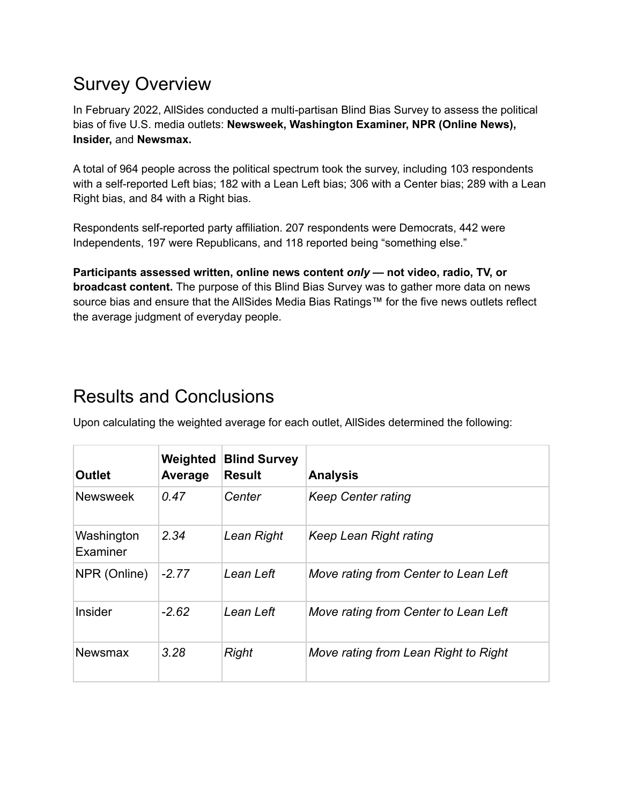# <span id="page-2-0"></span>Survey Overview

In February 2022, AllSides conducted a multi-partisan Blind Bias Survey to assess the political bias of five U.S. media outlets: **Newsweek, Washington Examiner, NPR (Online News), Insider,** and **Newsmax.**

A total of 964 people across the political spectrum took the survey, including 103 respondents with a self-reported Left bias; 182 with a Lean Left bias; 306 with a Center bias; 289 with a Lean Right bias, and 84 with a Right bias.

Respondents self-reported party affiliation. 207 respondents were Democrats, 442 were Independents, 197 were Republicans, and 118 reported being "something else."

**Participants assessed written, online news content** *only* **— not video, radio, TV, or broadcast content.** The purpose of this Blind Bias Survey was to gather more data on news source bias and ensure that the AllSides Media Bias Ratings™ for the five news outlets reflect the average judgment of everyday people.

# <span id="page-2-1"></span>Results and Conclusions

Upon calculating the weighted average for each outlet, AllSides determined the following:

| <b>Outlet</b>          | Weighted<br>Average | <b>Blind Survey</b><br><b>Result</b> | <b>Analysis</b>                      |
|------------------------|---------------------|--------------------------------------|--------------------------------------|
| <b>Newsweek</b>        | 0.47                | Center                               | <b>Keep Center rating</b>            |
| Washington<br>Examiner | 2.34                | Lean Right                           | Keep Lean Right rating               |
| NPR (Online)           | $-2.77$             | Lean Left                            | Move rating from Center to Lean Left |
| Insider                | $-2.62$             | Lean Left                            | Move rating from Center to Lean Left |
| <b>Newsmax</b>         | 3.28                | <b>Right</b>                         | Move rating from Lean Right to Right |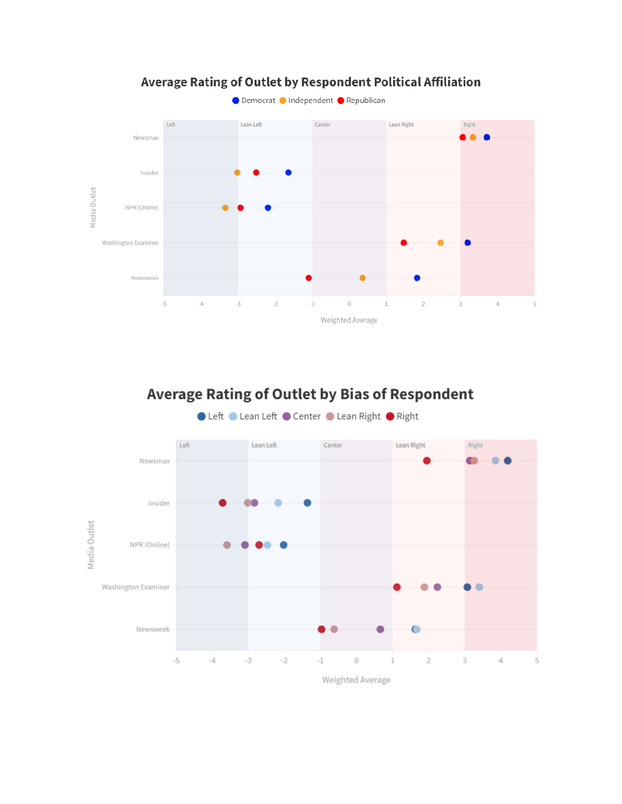

## Average Rating of Outlet by Respondent Political Affiliation

## Average Rating of Outlet by Bias of Respondent

● Left ● Lean Left ● Center ● Lean Right ● Right

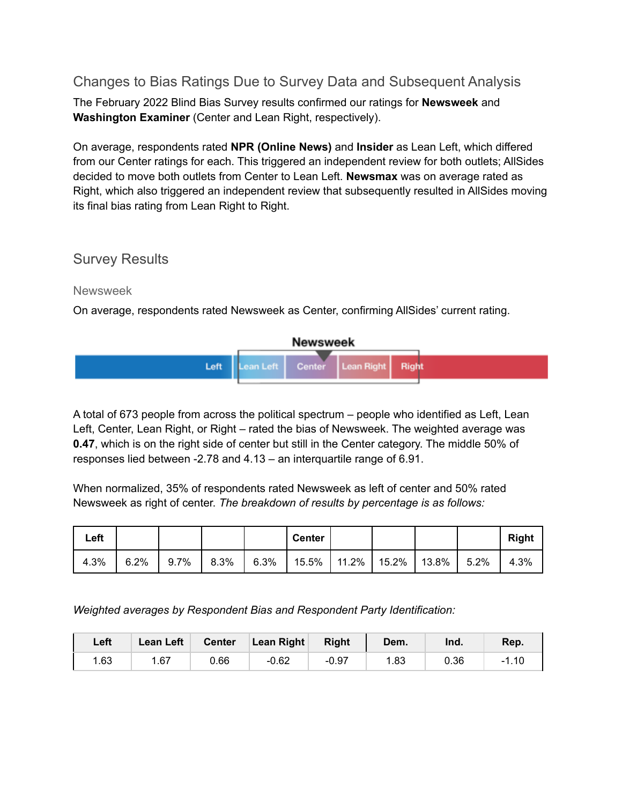### <span id="page-4-0"></span>Changes to Bias Ratings Due to Survey Data and Subsequent Analysis

The February 2022 Blind Bias Survey results confirmed our ratings for **Newsweek** and **Washington Examiner** (Center and Lean Right, respectively).

On average, respondents rated **NPR (Online News)** and **Insider** as Lean Left, which differed from our Center ratings for each. This triggered an independent review for both outlets; AllSides decided to move both outlets from Center to Lean Left. **Newsmax** was on average rated as Right, which also triggered an independent review that subsequently resulted in AllSides moving its final bias rating from Lean Right to Right.

### <span id="page-4-1"></span>Survey Results

<span id="page-4-2"></span>Newsweek

On average, respondents rated Newsweek as Center, confirming AllSides' current rating.



A total of 673 people from across the political spectrum – people who identified as Left, Lean Left, Center, Lean Right, or Right – rated the bias of Newsweek. The weighted average was **0.47**, which is on the right side of center but still in the Center category. The middle 50% of responses lied between -2.78 and 4.13 – an interquartile range of 6.91.

When normalized, 35% of respondents rated Newsweek as left of center and 50% rated Newsweek as right of center. *The breakdown of results by percentage is as follows:*

| Left |      |      |      |      | <b>Center</b> |                       |          |      | <b>Right</b> |
|------|------|------|------|------|---------------|-----------------------|----------|------|--------------|
| 4.3% | 6.2% | 9.7% | 8.3% | 6.3% |               | 15.5%   11.2%   15.2% | $13.8\%$ | 5.2% | 4.3%         |

*Weighted averages by Respondent Bias and Respondent Party Identification:*

| Left | Lean Left | <b>Center</b> | Lean Right | <b>Right</b> | Dem. | Ind. | Rep.  |
|------|-----------|---------------|------------|--------------|------|------|-------|
| 1.63 | 1.67      | 0.66          | $-0.62$    | $-0.97$      | 1.83 | 0.36 | -1.10 |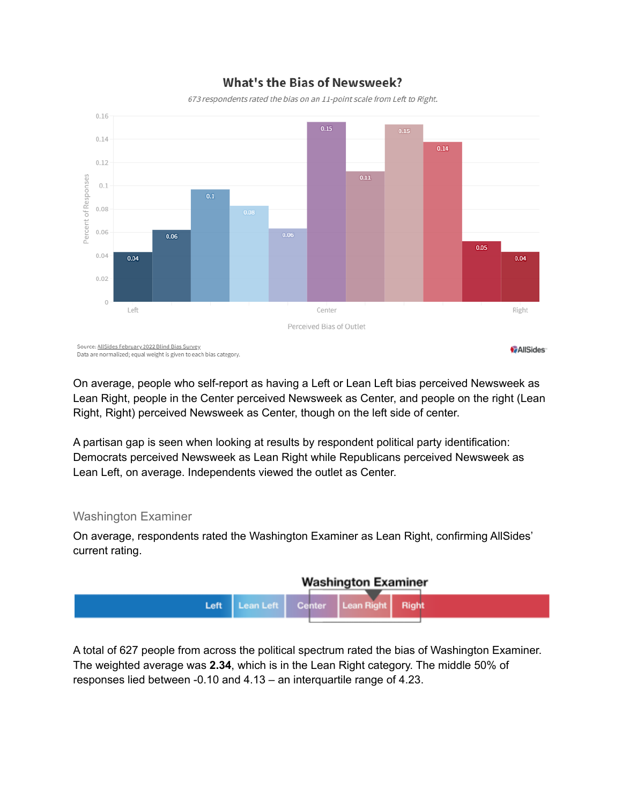

### **What's the Bias of Newsweek?**

673 respondents rated the bias on an 11-point scale from Left to Right.

On average, people who self-report as having a Left or Lean Left bias perceived Newsweek as Lean Right, people in the Center perceived Newsweek as Center, and people on the right (Lean Right, Right) perceived Newsweek as Center, though on the left side of center.

A partisan gap is seen when looking at results by respondent political party identification: Democrats perceived Newsweek as Lean Right while Republicans perceived Newsweek as Lean Left, on average. Independents viewed the outlet as Center.

#### <span id="page-5-0"></span>Washington Examiner

On average, respondents rated the Washington Examiner as Lean Right, confirming AllSides' current rating.



A total of 627 people from across the political spectrum rated the bias of Washington Examiner. The weighted average was **2.34**, which is in the Lean Right category. The middle 50% of responses lied between -0.10 and 4.13 – an interquartile range of 4.23.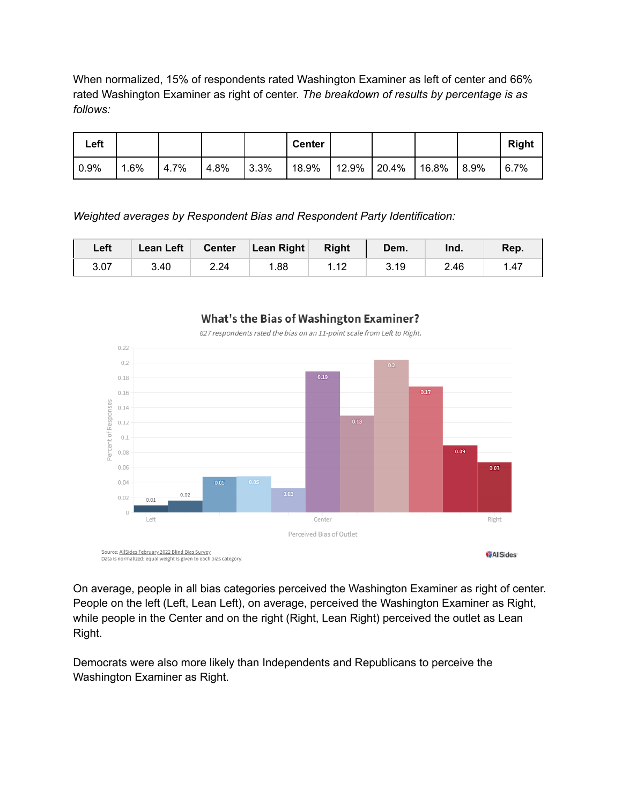When normalized, 15% of respondents rated Washington Examiner as left of center and 66% rated Washington Examiner as right of center. *The breakdown of results by percentage is as follows:*

| Left         |      |      |          |       | <b>Center</b> |             |           |       | <b>Right</b> |
|--------------|------|------|----------|-------|---------------|-------------|-----------|-------|--------------|
| $\vert$ 0.9% | 1.6% | 4.7% | $14.8\%$ | 13.3% | 18.9%         | 12.9% 20.4% | $116.8\%$ | 18.9% | 6.7%         |

*Weighted averages by Respondent Bias and Respondent Party Identification:*

| Left | Lean Left | <b>Center</b> | <b>Lean Right</b> | <b>Right</b>      | Dem. | Ind. | Rep. |
|------|-----------|---------------|-------------------|-------------------|------|------|------|
| 3.07 | 3.40      | 2.24          | 1.88              | 110<br>$\sqrt{2}$ | 3.19 | 2.46 | 1.47 |



**What's the Bias of Washington Examiner?** 627 respondents rated the bias on an 11-point scale from Left to Right.

On average, people in all bias categories perceived the Washington Examiner as right of center. People on the left (Left, Lean Left), on average, perceived the Washington Examiner as Right, while people in the Center and on the right (Right, Lean Right) perceived the outlet as Lean Right.

Democrats were also more likely than Independents and Republicans to perceive the Washington Examiner as Right.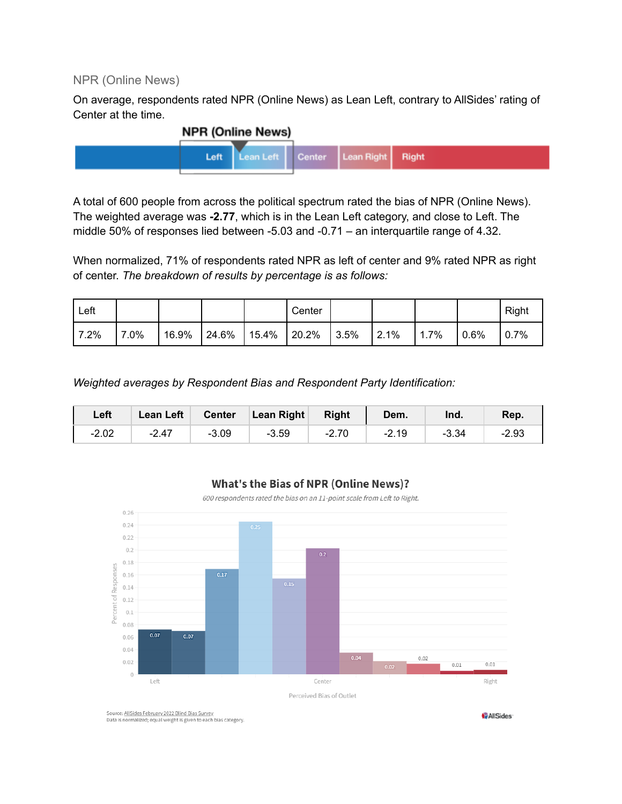#### <span id="page-7-0"></span>NPR (Online News)

On average, respondents rated NPR (Online News) as Lean Left, contrary to AllSides' rating of Center at the time.



A total of 600 people from across the political spectrum rated the bias of NPR (Online News). The weighted average was **-2.77**, which is in the Lean Left category, and close to Left. The middle 50% of responses lied between -5.03 and -0.71 – an interquartile range of 4.32.

When normalized, 71% of respondents rated NPR as left of center and 9% rated NPR as right of center. *The breakdown of results by percentage is as follows:*

| Left  |      |       |       |       | Center |       |                       |      |         | Right |
|-------|------|-------|-------|-------|--------|-------|-----------------------|------|---------|-------|
| 17.2% | 7.0% | 16.9% | 24.6% | 15.4% | 20.2%  | 13.5% | $\frac{2.1\%}{2.2\%}$ | 1.7% | $0.6\%$ | 10.7% |

*Weighted averages by Respondent Bias and Respondent Party Identification:*

| Left    | <b>Lean Left</b> | <b>Center</b> | Lean Right | <b>Right</b> | Dem.    | Ind.    | Rep.    |
|---------|------------------|---------------|------------|--------------|---------|---------|---------|
| $-2.02$ | $-2.47$          | $-3.09$       | $-3.59$    | $-2.70$      | $-2.19$ | $-3.34$ | $-2.93$ |



#### **What's the Bias of NPR (Online News)?**

600 respondents rated the bias on an 11-point scale from Left to Right.

Source: AllSides February 2022 Blind Bias Survey.<br>Data is normalized; equal weight is given to each bias category.

**AllSides**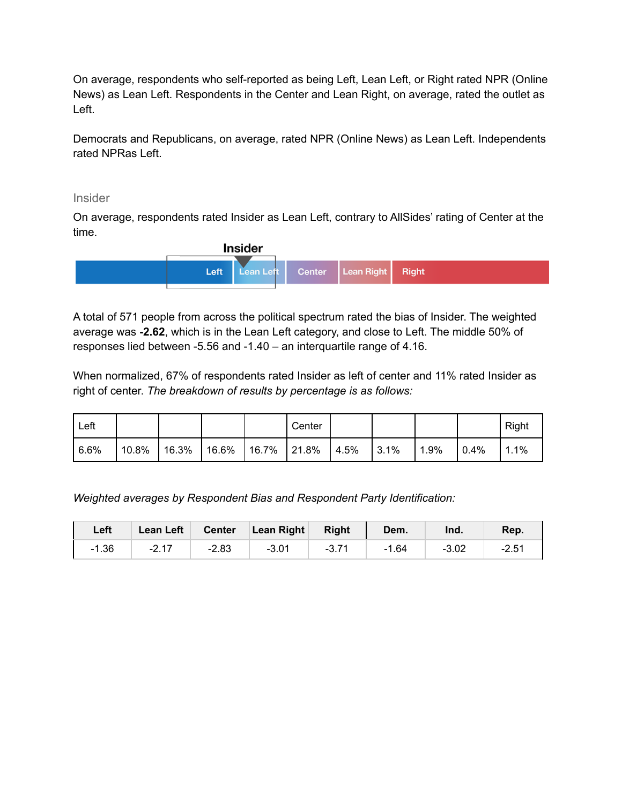On average, respondents who self-reported as being Left, Lean Left, or Right rated NPR (Online News) as Lean Left. Respondents in the Center and Lean Right, on average, rated the outlet as Left.

Democrats and Republicans, on average, rated NPR (Online News) as Lean Left. Independents rated NPRas Left.

#### <span id="page-8-0"></span>Insider

On average, respondents rated Insider as Lean Left, contrary to AllSides' rating of Center at the time.



A total of 571 people from across the political spectrum rated the bias of Insider. The weighted average was **-2.62**, which is in the Lean Left category, and close to Left. The middle 50% of responses lied between -5.56 and -1.40 – an interquartile range of 4.16.

When normalized, 67% of respondents rated Insider as left of center and 11% rated Insider as right of center. *The breakdown of results by percentage is as follows:*

| Left |          |       |          |                | Center |       |      |      |      | Right |
|------|----------|-------|----------|----------------|--------|-------|------|------|------|-------|
| 6.6% | $10.8\%$ | 16.3% | $16.6\%$ | $16.7\%$ 21.8% |        | 14.5% | 3.1% | 1.9% | 0.4% | 1.1%  |

*Weighted averages by Respondent Bias and Respondent Party Identification:*

| Left    | <b>Lean Left</b> |         | Center Lean Right | Right   | Dem.    | Ind.    | Rep.    |
|---------|------------------|---------|-------------------|---------|---------|---------|---------|
| $-1.36$ | $-2.17$          | $-2.83$ | $-3.01$           | $-3.71$ | $-1.64$ | $-3.02$ | $-2.54$ |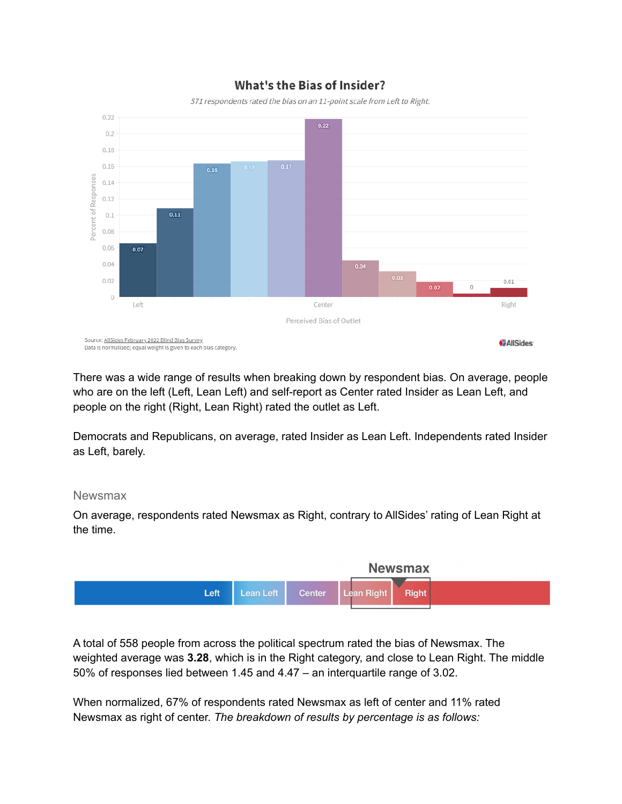

### **What's the Bias of Insider?**

There was a wide range of results when breaking down by respondent bias. On average, people who are on the left (Left, Lean Left) and self-report as Center rated Insider as Lean Left, and people on the right (Right, Lean Right) rated the outlet as Left.

Democrats and Republicans, on average, rated Insider as Lean Left. Independents rated Insider as Left, barely.

### <span id="page-9-0"></span>Newsmax

On average, respondents rated Newsmax as Right, contrary to AllSides' rating of Lean Right at the time.



A total of 558 people from across the political spectrum rated the bias of Newsmax. The weighted average was **3.28**, which is in the Right category, and close to Lean Right. The middle 50% of responses lied between 1.45 and 4.47 – an interquartile range of 3.02.

When normalized, 67% of respondents rated Newsmax as left of center and 11% rated Newsmax as right of center. *The breakdown of results by percentage is as follows:*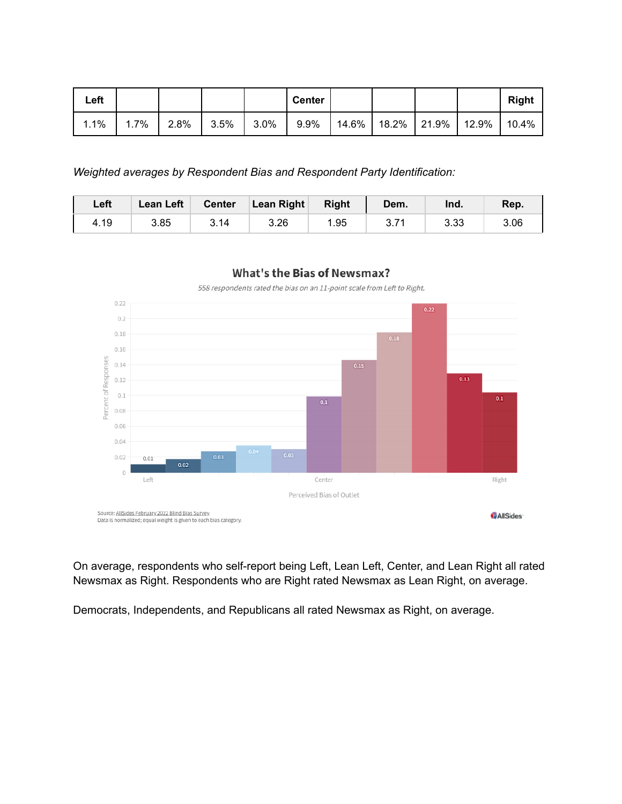| Left |      |         |      |         | <b>Center</b> |  |                                 | <b>Right</b> |
|------|------|---------|------|---------|---------------|--|---------------------------------|--------------|
| 1.1% | 1.7% | $2.8\%$ | 3.5% | $3.0\%$ | $9.9\%$       |  | │ 14.6% │ 18.2% │ 21.9% │ 12.9% | 10.4%        |

*Weighted averages by Respondent Bias and Respondent Party Identification:*

| Left | <b>Lean Left</b> | <b>Center</b> | <b>Lean Right</b> | <b>Right</b> | Dem. | Ind. | Rep. |
|------|------------------|---------------|-------------------|--------------|------|------|------|
| 4.19 | 3.85             | 3.14          | 3.26              | 1.95         | 0.11 | 3.33 | 3.06 |



558 respondents rated the bias on an 11-point scale from Left to Right.



On average, respondents who self-report being Left, Lean Left, Center, and Lean Right all rated Newsmax as Right. Respondents who are Right rated Newsmax as Lean Right, on average.

Democrats, Independents, and Republicans all rated Newsmax as Right, on average.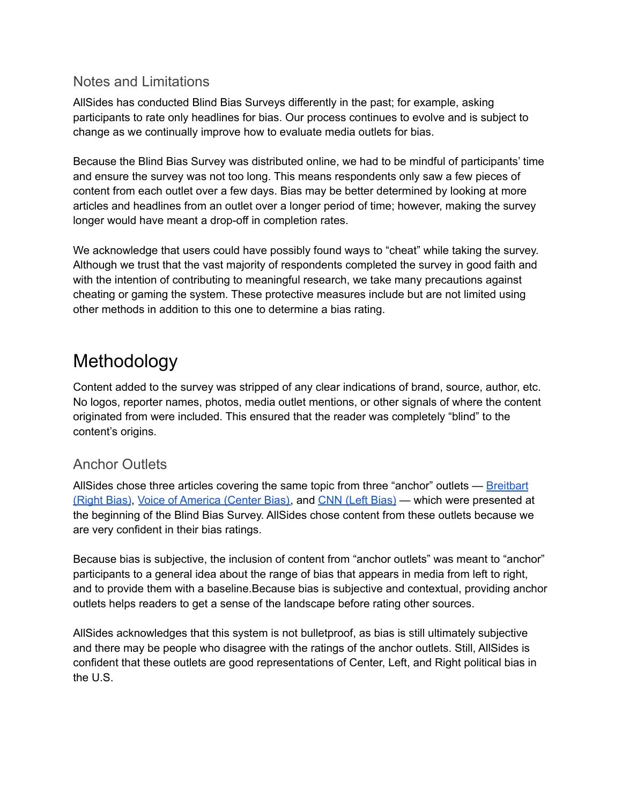### <span id="page-11-0"></span>Notes and Limitations

AllSides has conducted Blind Bias Surveys differently in the past; for example, asking participants to rate only headlines for bias. Our process continues to evolve and is subject to change as we continually improve how to evaluate media outlets for bias.

Because the Blind Bias Survey was distributed online, we had to be mindful of participants' time and ensure the survey was not too long. This means respondents only saw a few pieces of content from each outlet over a few days. Bias may be better determined by looking at more articles and headlines from an outlet over a longer period of time; however, making the survey longer would have meant a drop-off in completion rates.

We acknowledge that users could have possibly found ways to "cheat" while taking the survey. Although we trust that the vast majority of respondents completed the survey in good faith and with the intention of contributing to meaningful research, we take many precautions against cheating or gaming the system. These protective measures include but are not limited using other methods in addition to this one to determine a bias rating.

# <span id="page-11-1"></span>Methodology

Content added to the survey was stripped of any clear indications of brand, source, author, etc. No logos, reporter names, photos, media outlet mentions, or other signals of where the content originated from were included. This ensured that the reader was completely "blind" to the content's origins.

### <span id="page-11-2"></span>Anchor Outlets

AllSides chose three articles covering the same topic from three "anchor" outlets — [Breitbart](https://www.allsides.com/news-source/breitbart) [\(Right](https://www.allsides.com/news-source/breitbart) Bias), Voice of [America](https://www.allsides.com/news-source/voice-america) (Center Bias), and CNN (Left [Bias\)](https://www.allsides.com/news-source/cnn-media-bias) — which were presented at the beginning of the Blind Bias Survey. AllSides chose content from these outlets because we are very confident in their bias ratings.

Because bias is subjective, the inclusion of content from "anchor outlets" was meant to "anchor" participants to a general idea about the range of bias that appears in media from left to right, and to provide them with a baseline.Because bias is subjective and contextual, providing anchor outlets helps readers to get a sense of the landscape before rating other sources.

AllSides acknowledges that this system is not bulletproof, as bias is still ultimately subjective and there may be people who disagree with the ratings of the anchor outlets. Still, AllSides is confident that these outlets are good representations of Center, Left, and Right political bias in the U.S.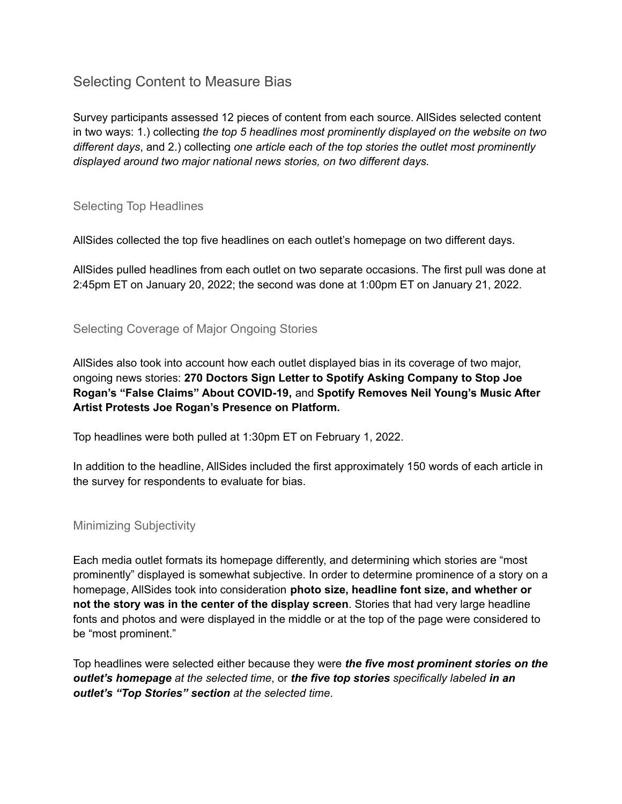## <span id="page-12-0"></span>Selecting Content to Measure Bias

Survey participants assessed 12 pieces of content from each source. AllSides selected content in two ways: 1.) collecting *the top 5 headlines most prominently displayed on the website on two different days*, and 2.) collecting *one article each of the top stories the outlet most prominently displayed around two major national news stories, on two different days.*

### <span id="page-12-1"></span>Selecting Top Headlines

AllSides collected the top five headlines on each outlet's homepage on two different days.

AllSides pulled headlines from each outlet on two separate occasions. The first pull was done at 2:45pm ET on January 20, 2022; the second was done at 1:00pm ET on January 21, 2022.

### <span id="page-12-2"></span>Selecting Coverage of Major Ongoing Stories

AllSides also took into account how each outlet displayed bias in its coverage of two major, ongoing news stories: **270 Doctors Sign Letter to Spotify Asking Company to Stop Joe Rogan's "False Claims" About COVID-19,** and **Spotify Removes Neil Young's Music After Artist Protests Joe Rogan's Presence on Platform.**

Top headlines were both pulled at 1:30pm ET on February 1, 2022.

In addition to the headline, AllSides included the first approximately 150 words of each article in the survey for respondents to evaluate for bias.

### <span id="page-12-3"></span>Minimizing Subjectivity

Each media outlet formats its homepage differently, and determining which stories are "most prominently" displayed is somewhat subjective. In order to determine prominence of a story on a homepage, AllSides took into consideration **photo size, headline font size, and whether or not the story was in the center of the display screen**. Stories that had very large headline fonts and photos and were displayed in the middle or at the top of the page were considered to be "most prominent."

Top headlines were selected either because they were *the five most prominent stories on the outlet's homepage at the selected time*, or *the five top stories specifically labeled in an outlet's "Top Stories" section at the selected time*.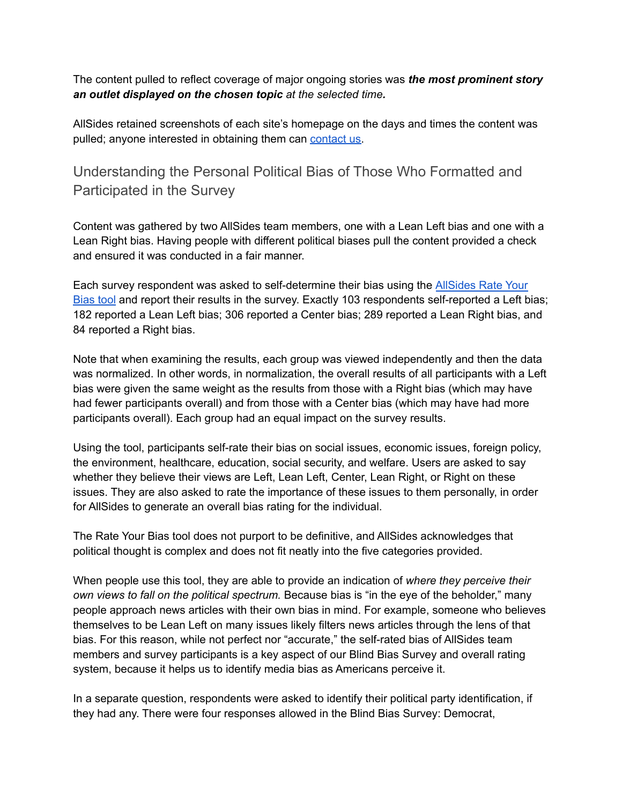The content pulled to reflect coverage of major ongoing stories was *the most prominent story an outlet displayed on the chosen topic at the selected time.*

AllSides retained screenshots of each site's homepage on the days and times the content was pulled; anyone interested in obtaining them can [contact](mailto:admin@allsides.com) us.

## <span id="page-13-0"></span>Understanding the Personal Political Bias of Those Who Formatted and Participated in the Survey

Content was gathered by two AllSides team members, one with a Lean Left bias and one with a Lean Right bias. Having people with different political biases pull the content provided a check and ensured it was conducted in a fair manner.

Each survey respondent was asked to self-determine their bias using the [AllSides](https://www.allsides.com/rate-own-bias) Rate Your [Bias](https://www.allsides.com/rate-own-bias) tool and report their results in the survey. Exactly 103 respondents self-reported a Left bias; 182 reported a Lean Left bias; 306 reported a Center bias; 289 reported a Lean Right bias, and 84 reported a Right bias.

Note that when examining the results, each group was viewed independently and then the data was normalized. In other words, in normalization, the overall results of all participants with a Left bias were given the same weight as the results from those with a Right bias (which may have had fewer participants overall) and from those with a Center bias (which may have had more participants overall). Each group had an equal impact on the survey results.

Using the tool, participants self-rate their bias on social issues, economic issues, foreign policy, the environment, healthcare, education, social security, and welfare. Users are asked to say whether they believe their views are Left, Lean Left, Center, Lean Right, or Right on these issues. They are also asked to rate the importance of these issues to them personally, in order for AllSides to generate an overall bias rating for the individual.

The Rate Your Bias tool does not purport to be definitive, and AllSides acknowledges that political thought is complex and does not fit neatly into the five categories provided.

When people use this tool, they are able to provide an indication of *where they perceive their own views to fall on the political spectrum.* Because bias is "in the eye of the beholder," many people approach news articles with their own bias in mind. For example, someone who believes themselves to be Lean Left on many issues likely filters news articles through the lens of that bias. For this reason, while not perfect nor "accurate," the self-rated bias of AllSides team members and survey participants is a key aspect of our Blind Bias Survey and overall rating system, because it helps us to identify media bias as Americans perceive it.

In a separate question, respondents were asked to identify their political party identification, if they had any. There were four responses allowed in the Blind Bias Survey: Democrat,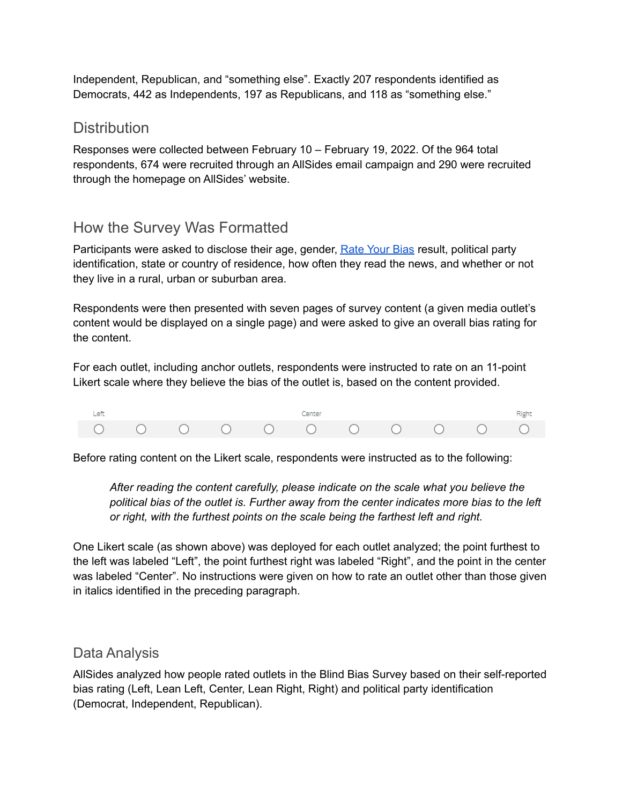Independent, Republican, and "something else". Exactly 207 respondents identified as Democrats, 442 as Independents, 197 as Republicans, and 118 as "something else."

### <span id="page-14-0"></span>**Distribution**

Responses were collected between February 10 – February 19, 2022. Of the 964 total respondents, 674 were recruited through an AllSides email campaign and 290 were recruited through the homepage on AllSides' website.

## <span id="page-14-1"></span>How the Survey Was Formatted

Participants were asked to disclose their age, gender, [Rate](https://www.allsides.com/rate-own-bias) Your Bias result, political party identification, state or country of residence, how often they read the news, and whether or not they live in a rural, urban or suburban area.

Respondents were then presented with seven pages of survey content (a given media outlet's content would be displayed on a single page) and were asked to give an overall bias rating for the content.

For each outlet, including anchor outlets, respondents were instructed to rate on an 11-point Likert scale where they believe the bias of the outlet is, based on the content provided.



Before rating content on the Likert scale, respondents were instructed as to the following:

*After reading the content carefully, please indicate on the scale what you believe the political bias of the outlet is. Further away from the center indicates more bias to the left or right, with the furthest points on the scale being the farthest left and right.*

One Likert scale (as shown above) was deployed for each outlet analyzed; the point furthest to the left was labeled "Left", the point furthest right was labeled "Right", and the point in the center was labeled "Center". No instructions were given on how to rate an outlet other than those given in italics identified in the preceding paragraph.

### <span id="page-14-2"></span>Data Analysis

AllSides analyzed how people rated outlets in the Blind Bias Survey based on their self-reported bias rating (Left, Lean Left, Center, Lean Right, Right) and political party identification (Democrat, Independent, Republican).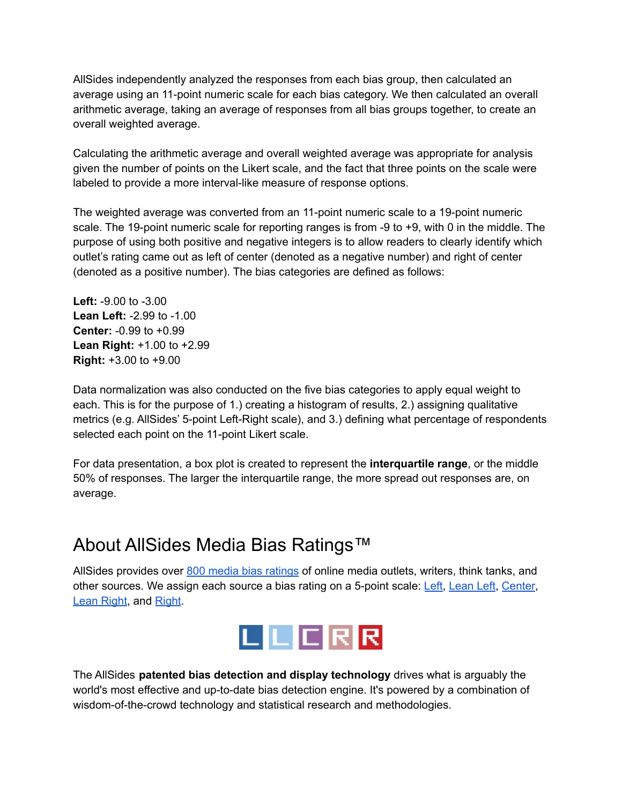AllSides independently analyzed the responses from each bias group, then calculated an average using an 11-point numeric scale for each bias category. We then calculated an overall arithmetic average, taking an average of responses from all bias groups together, to create an overall weighted average.

Calculating the arithmetic average and overall weighted average was appropriate for analysis given the number of points on the Likert scale, and the fact that three points on the scale were labeled to provide a more interval-like measure of response options.

The weighted average was converted from an 11-point numeric scale to a 19-point numeric scale. The 19-point numeric scale for reporting ranges is from -9 to +9, with 0 in the middle. The purpose of using both positive and negative integers is to allow readers to clearly identify which outlet's rating came out as left of center (denoted as a negative number) and right of center (denoted as a positive number). The bias categories are defined as follows:

**Left:** -9.00 to -3.00 **Lean Left:** -2.99 to -1.00 **Center:** -0.99 to +0.99 **Lean Right:** +1.00 to +2.99 **Right:** +3.00 to +9.00

Data normalization was also conducted on the five bias categories to apply equal weight to each. This is for the purpose of 1.) creating a histogram of results, 2.) assigning qualitative metrics (e.g. AllSides' 5-point Left-Right scale), and 3.) defining what percentage of respondents selected each point on the 11-point Likert scale.

For data presentation, a box plot is created to represent the **interquartile range**, or the middle 50% of responses. The larger the interquartile range, the more spread out responses are, on average.

# <span id="page-15-0"></span>About AllSides Media Bias Ratings™

AllSides provides over 800 media bias [ratings](https://www.allsides.com/media-bias/media-bias-ratings) of online media outlets, writers, think tanks, and other sources. We assign each source a bias rating on a 5-point scale: [Left,](https://www.allsides.com/media-bias/left) [Lean](https://www.allsides.com/media-bias/left-center) Left, [Center](https://www.allsides.com/media-bias/center), Lean [Right](https://www.allsides.com/media-bias/right), and Right.



The AllSides **patented bias detection and display technology** drives what is arguably the world's most effective and up-to-date bias detection engine. It's powered by a combination of wisdom-of-the-crowd technology and statistical research and methodologies.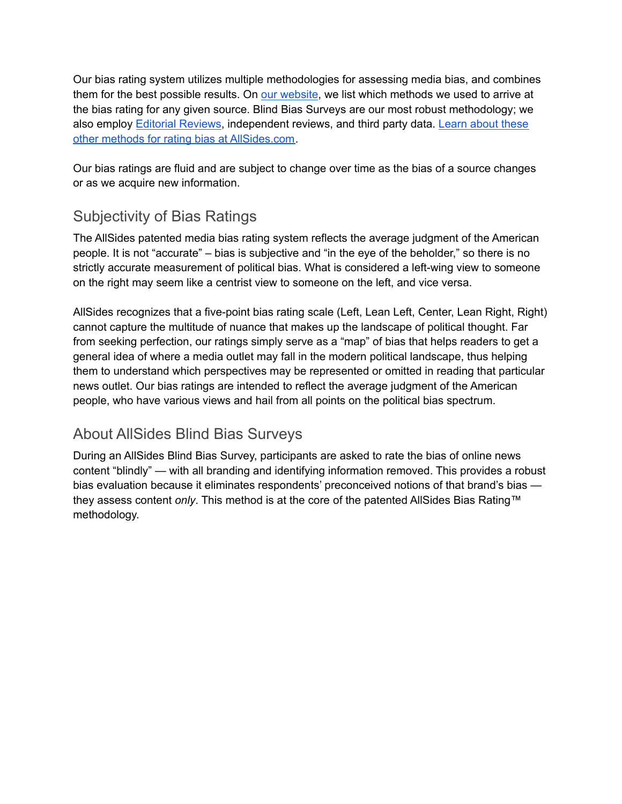Our bias rating system utilizes multiple methodologies for assessing media bias, and combines them for the best possible results. On our [website](http://allsides.com), we list which methods we used to arrive at the bias rating for any given source. Blind Bias Surveys are our most robust methodology; we also employ Editorial [Reviews](https://www.allsides.com/media-bias/media-bias-rating-methods/editorial-reviews), independent reviews, and third party data. [Learn](https://www.allsides.com/media-bias/media-bias-rating-methods) about these other methods for rating bias at [AllSides.com.](https://www.allsides.com/media-bias/media-bias-rating-methods)

Our bias ratings are fluid and are subject to change over time as the bias of a source changes or as we acquire new information.

## <span id="page-16-0"></span>Subjectivity of Bias Ratings

The AllSides patented media bias rating system reflects the average judgment of the American people. It is not "accurate" – bias is subjective and "in the eye of the beholder," so there is no strictly accurate measurement of political bias. What is considered a left-wing view to someone on the right may seem like a centrist view to someone on the left, and vice versa.

AllSides recognizes that a five-point bias rating scale (Left, Lean Left, Center, Lean Right, Right) cannot capture the multitude of nuance that makes up the landscape of political thought. Far from seeking perfection, our ratings simply serve as a "map" of bias that helps readers to get a general idea of where a media outlet may fall in the modern political landscape, thus helping them to understand which perspectives may be represented or omitted in reading that particular news outlet. Our bias ratings are intended to reflect the average judgment of the American people, who have various views and hail from all points on the political bias spectrum.

## <span id="page-16-1"></span>About AllSides Blind Bias Surveys

During an AllSides Blind Bias Survey, participants are asked to rate the bias of online news content "blindly" — with all branding and identifying information removed. This provides a robust bias evaluation because it eliminates respondents' preconceived notions of that brand's bias they assess content *only*. This method is at the core of the patented AllSides Bias Rating™ methodology.